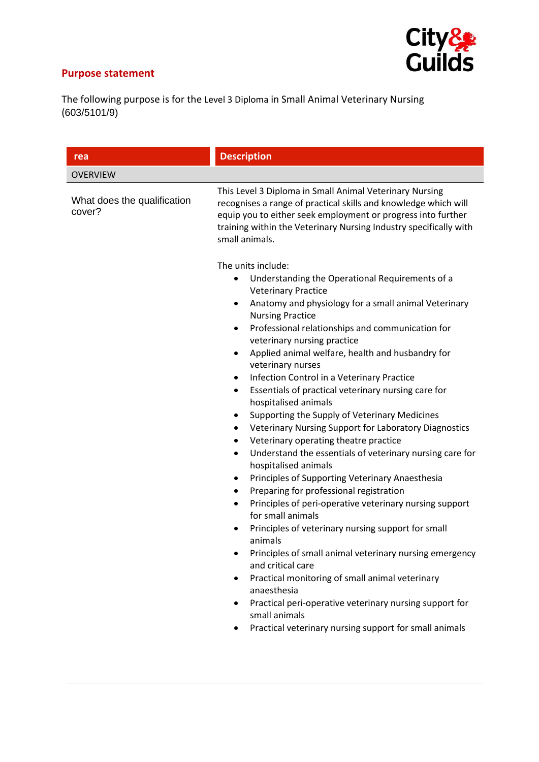## **Purpose statement**



The following purpose is for the Level 3 Diploma in Small Animal Veterinary Nursing (603/5101/9)

| rea                                   | <b>Description</b>                                                                                                                                                                                                                                                                                                                                                                                                                                                                                                                                                                                                                                                                                                                                                                                                                                                                                                                                                                                                                                                                                                                                                                               |
|---------------------------------------|--------------------------------------------------------------------------------------------------------------------------------------------------------------------------------------------------------------------------------------------------------------------------------------------------------------------------------------------------------------------------------------------------------------------------------------------------------------------------------------------------------------------------------------------------------------------------------------------------------------------------------------------------------------------------------------------------------------------------------------------------------------------------------------------------------------------------------------------------------------------------------------------------------------------------------------------------------------------------------------------------------------------------------------------------------------------------------------------------------------------------------------------------------------------------------------------------|
| <b>OVERVIEW</b>                       |                                                                                                                                                                                                                                                                                                                                                                                                                                                                                                                                                                                                                                                                                                                                                                                                                                                                                                                                                                                                                                                                                                                                                                                                  |
| What does the qualification<br>cover? | This Level 3 Diploma in Small Animal Veterinary Nursing<br>recognises a range of practical skills and knowledge which will<br>equip you to either seek employment or progress into further<br>training within the Veterinary Nursing Industry specifically with<br>small animals.<br>The units include:<br>Understanding the Operational Requirements of a<br>$\bullet$                                                                                                                                                                                                                                                                                                                                                                                                                                                                                                                                                                                                                                                                                                                                                                                                                          |
|                                       | <b>Veterinary Practice</b><br>Anatomy and physiology for a small animal Veterinary<br>$\bullet$<br><b>Nursing Practice</b><br>Professional relationships and communication for<br>$\bullet$<br>veterinary nursing practice<br>Applied animal welfare, health and husbandry for<br>$\bullet$<br>veterinary nurses<br>Infection Control in a Veterinary Practice<br>$\bullet$<br>Essentials of practical veterinary nursing care for<br>$\bullet$<br>hospitalised animals<br>Supporting the Supply of Veterinary Medicines<br>Veterinary Nursing Support for Laboratory Diagnostics<br>$\bullet$<br>Veterinary operating theatre practice<br>٠<br>Understand the essentials of veterinary nursing care for<br>$\bullet$<br>hospitalised animals<br>Principles of Supporting Veterinary Anaesthesia<br>$\bullet$<br>Preparing for professional registration<br>$\bullet$<br>Principles of peri-operative veterinary nursing support<br>for small animals<br>Principles of veterinary nursing support for small<br>$\bullet$<br>animals<br>Principles of small animal veterinary nursing emergency<br>$\bullet$<br>and critical care<br>Practical monitoring of small animal veterinary<br>$\bullet$ |
|                                       | anaesthesia<br>Practical peri-operative veterinary nursing support for<br>$\bullet$<br>small animals<br>Practical veterinary nursing support for small animals                                                                                                                                                                                                                                                                                                                                                                                                                                                                                                                                                                                                                                                                                                                                                                                                                                                                                                                                                                                                                                   |
|                                       |                                                                                                                                                                                                                                                                                                                                                                                                                                                                                                                                                                                                                                                                                                                                                                                                                                                                                                                                                                                                                                                                                                                                                                                                  |